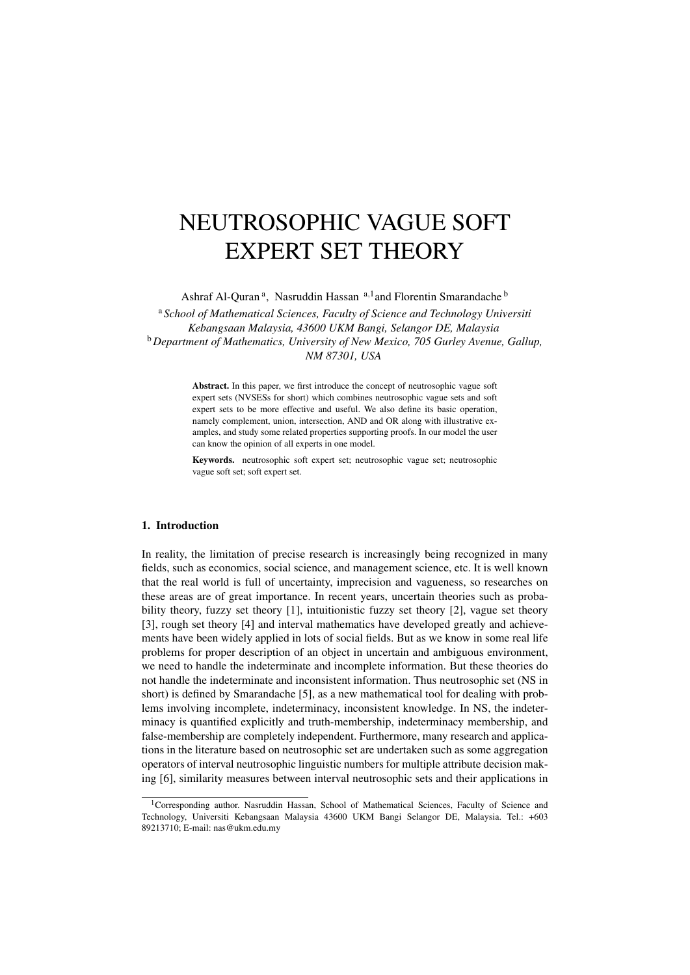# NEUTROSOPHIC VAGUE SOFT EXPERT SET THEORY

Ashraf Al-Quran<sup>a</sup>, Nasruddin Hassan <sup>a,1</sup> and Florentin Smarandache<sup>b</sup>

<sup>a</sup> *School of Mathematical Sciences, Faculty of Science and Technology Universiti Kebangsaan Malaysia, 43600 UKM Bangi, Selangor DE, Malaysia* <sup>b</sup>*Department of Mathematics, University of New Mexico, 705 Gurley Avenue, Gallup, NM 87301, USA*

> Abstract. In this paper, we first introduce the concept of neutrosophic vague soft expert sets (NVSESs for short) which combines neutrosophic vague sets and soft expert sets to be more effective and useful. We also define its basic operation, namely complement, union, intersection, AND and OR along with illustrative examples, and study some related properties supporting proofs. In our model the user can know the opinion of all experts in one model.

> Keywords. neutrosophic soft expert set; neutrosophic vague set; neutrosophic vague soft set; soft expert set.

## 1. Introduction

In reality, the limitation of precise research is increasingly being recognized in many fields, such as economics, social science, and management science, etc. It is well known that the real world is full of uncertainty, imprecision and vagueness, so researches on these areas are of great importance. In recent years, uncertain theories such as probability theory, fuzzy set theory [1], intuitionistic fuzzy set theory [2], vague set theory [3], rough set theory [4] and interval mathematics have developed greatly and achievements have been widely applied in lots of social fields. But as we know in some real life problems for proper description of an object in uncertain and ambiguous environment, we need to handle the indeterminate and incomplete information. But these theories do not handle the indeterminate and inconsistent information. Thus neutrosophic set (NS in short) is defined by Smarandache [5], as a new mathematical tool for dealing with problems involving incomplete, indeterminacy, inconsistent knowledge. In NS, the indeterminacy is quantified explicitly and truth-membership, indeterminacy membership, and false-membership are completely independent. Furthermore, many research and applications in the literature based on neutrosophic set are undertaken such as some aggregation operators of interval neutrosophic linguistic numbers for multiple attribute decision making [6], similarity measures between interval neutrosophic sets and their applications in

<sup>&</sup>lt;sup>1</sup>Corresponding author. Nasruddin Hassan, School of Mathematical Sciences, Faculty of Science and Technology, Universiti Kebangsaan Malaysia 43600 UKM Bangi Selangor DE, Malaysia. Tel.: +603 89213710; E-mail: nas@ukm.edu.my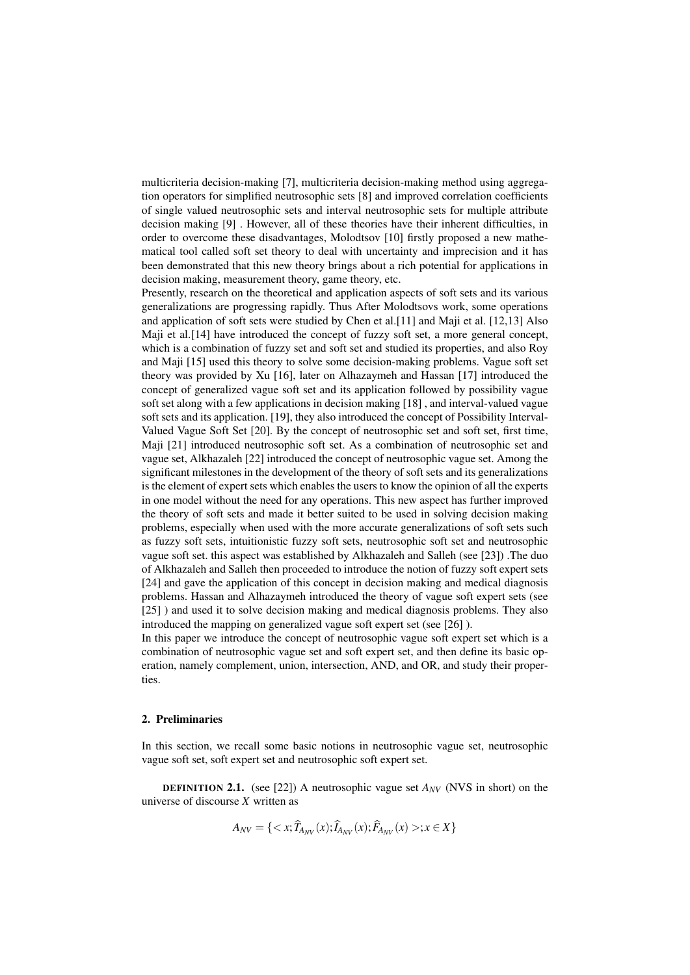multicriteria decision-making [7], multicriteria decision-making method using aggregation operators for simplified neutrosophic sets [8] and improved correlation coefficients of single valued neutrosophic sets and interval neutrosophic sets for multiple attribute decision making [9] . However, all of these theories have their inherent difficulties, in order to overcome these disadvantages, Molodtsov [10] firstly proposed a new mathematical tool called soft set theory to deal with uncertainty and imprecision and it has been demonstrated that this new theory brings about a rich potential for applications in decision making, measurement theory, game theory, etc.

Presently, research on the theoretical and application aspects of soft sets and its various generalizations are progressing rapidly. Thus After Molodtsovs work, some operations and application of soft sets were studied by Chen et al.[11] and Maji et al. [12,13] Also Maji et al.[14] have introduced the concept of fuzzy soft set, a more general concept, which is a combination of fuzzy set and soft set and studied its properties, and also Roy and Maji [15] used this theory to solve some decision-making problems. Vague soft set theory was provided by Xu [16], later on Alhazaymeh and Hassan [17] introduced the concept of generalized vague soft set and its application followed by possibility vague soft set along with a few applications in decision making [18] , and interval-valued vague soft sets and its application. [19], they also introduced the concept of Possibility Interval-Valued Vague Soft Set [20]. By the concept of neutrosophic set and soft set, first time, Maji [21] introduced neutrosophic soft set. As a combination of neutrosophic set and vague set, Alkhazaleh [22] introduced the concept of neutrosophic vague set. Among the significant milestones in the development of the theory of soft sets and its generalizations is the element of expert sets which enables the users to know the opinion of all the experts in one model without the need for any operations. This new aspect has further improved the theory of soft sets and made it better suited to be used in solving decision making problems, especially when used with the more accurate generalizations of soft sets such as fuzzy soft sets, intuitionistic fuzzy soft sets, neutrosophic soft set and neutrosophic vague soft set. this aspect was established by Alkhazaleh and Salleh (see [23]) .The duo of Alkhazaleh and Salleh then proceeded to introduce the notion of fuzzy soft expert sets [24] and gave the application of this concept in decision making and medical diagnosis problems. Hassan and Alhazaymeh introduced the theory of vague soft expert sets (see [25] ) and used it to solve decision making and medical diagnosis problems. They also introduced the mapping on generalized vague soft expert set (see [26] ).

In this paper we introduce the concept of neutrosophic vague soft expert set which is a combination of neutrosophic vague set and soft expert set, and then define its basic operation, namely complement, union, intersection, AND, and OR, and study their properties.

## 2. Preliminaries

In this section, we recall some basic notions in neutrosophic vague set, neutrosophic vague soft set, soft expert set and neutrosophic soft expert set.

**DEFINITION 2.1.** (see [22]) A neutrosophic vague set  $A_{NV}$  (NVS in short) on the universe of discourse *X* written as

$$
A_{NV} = \{ \langle x; \widehat{T}_{A_{NV}}(x); \widehat{A}_{MV}(x); \widehat{F}_{A_{NV}}(x) >; x \in X \}
$$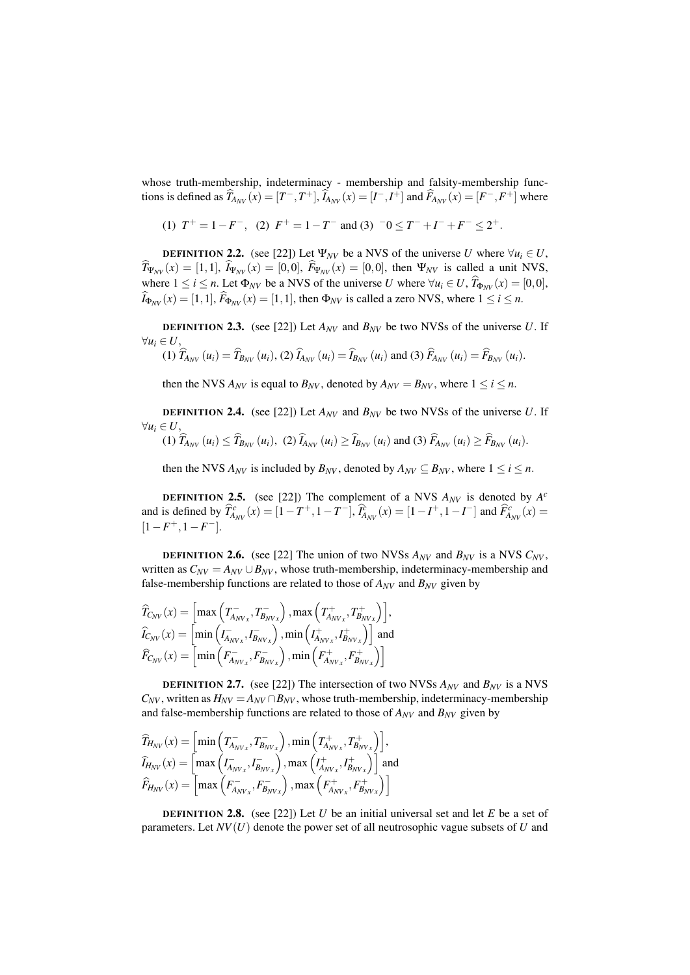whose truth-membership, indeterminacy - membership and falsity-membership functions is defined as  $\widehat{T}_{A_{NV}}(x) = [T^-, T^+]$ ,  $\widehat{I}_{A_{NV}}(x) = [I^-, I^+]$  and  $\widehat{F}_{A_{NV}}(x) = [F^-, F^+]$  where

(1) 
$$
T^+ = 1 - F^-
$$
, (2)  $F^+ = 1 - T^-$  and (3)  $-0 \leq T^- + T^- + F^- \leq 2^+$ .

**DEFINITION 2.2.** (see [22]) Let  $\Psi_{NV}$  be a NVS of the universe *U* where  $\forall u_i \in U$ ,  $\hat{T}_{\Psi_{NV}}(x) = [1,1], \hat{k}_{\Psi_{NV}}(x) = [0,0], \hat{F}_{\Psi_{NV}}(x) = [0,0],$  then  $\Psi_{NV}$  is called a unit NVS, where  $1 \le i \le n$ . Let  $\Phi_{NV}$  be a NVS of the universe *U* where  $\forall u_i \in U$ ,  $\widehat{T}_{\Phi_{NV}}(x) = [0,0]$ ,  $\widehat{I}_{\Phi_{MV}}(x) = [1,1], \widehat{F}_{\Phi_{MV}}(x) = [1,1],$  then  $\Phi_{NV}$  is called a zero NVS, where  $1 \le i \le n$ .

**DEFINITION 2.3.** (see [22]) Let  $A_{\text{NV}}$  and  $B_{\text{NV}}$  be two NVSs of the universe *U*. If  $∀u_i ∈ U,$  $\sim$  $\mathbf{r}$ 

(1) 
$$
\hat{T}_{A_{NV}}(u_i) = \hat{T}_{B_{NV}}(u_i)
$$
, (2)  $\hat{T}_{A_{NV}}(u_i) = \hat{T}_{B_{NV}}(u_i)$  and (3)  $\hat{F}_{A_{NV}}(u_i) = \hat{F}_{B_{NV}}(u_i)$ .

then the NVS  $A_{NV}$  is equal to  $B_{NV}$ , denoted by  $A_{NV} = B_{NV}$ , where  $1 \le i \le n$ .

**DEFINITION 2.4.** (see [22]) Let  $A_{\text{NV}}$  and  $B_{\text{NV}}$  be two NVSs of the universe *U*. If  $∀u_i ∈ U,$ 

(1) 
$$
\hat{T}_{A_{NV}}(u_i) \leq \hat{T}_{B_{NV}}(u_i)
$$
, (2)  $\hat{I}_{A_{NV}}(u_i) \geq \hat{I}_{B_{NV}}(u_i)$  and (3)  $\hat{F}_{A_{NV}}(u_i) \geq \hat{F}_{B_{NV}}(u_i)$ .

then the NVS  $A_{NV}$  is included by  $B_{NV}$ , denoted by  $A_{NV} \subseteq B_{NV}$ , where  $1 \le i \le n$ .

**DEFINITION 2.5.** (see [22]) The complement of a NVS  $A_{NV}$  is denoted by  $A^c$ and is defined by  $\hat{T}_{A_{NV}}^c(x) = [1 - T^+, 1 - T^-], \hat{T}_{A_{NV}}^c(x) = [1 - I^+, 1 - I^-]$  and  $\hat{F}_{A_{NV}}^c(x) =$  $[1 - F^+, 1 - F^-].$ 

**DEFINITION 2.6.** (see [22] The union of two NVSs  $A_{NV}$  and  $B_{NV}$  is a NVS  $C_{NV}$ , written as  $C_{NV} = A_{NV} \cup B_{NV}$ , whose truth-membership, indeterminacy-membership and false-membership functions are related to those of  $A_{NV}$  and  $B_{NV}$  given by

$$
\begin{aligned}\n\widehat{T}_{C_{NV}}(x) &= \left[ \max \left( T_{A_{NV_x}}^-, T_{B_{NV_x}}^- \right), \max \left( T_{A_{NV_x}}^+, T_{B_{NV_x}}^+ \right) \right], \\
\widehat{I}_{C_{NV}}(x) &= \left[ \min \left( I_{A_{NV_x}}^-, I_{B_{NV_x}}^- \right), \min \left( I_{A_{NV_x}}^+, I_{B_{NV_x}}^+ \right) \right] \text{and} \\
\widehat{F}_{C_{NV}}(x) &= \left[ \min \left( F_{A_{NV_x}}^-, F_{B_{NV_x}}^- \right), \min \left( F_{A_{NV_x}}^+, F_{B_{NV_x}}^+ \right) \right]\n\end{aligned}
$$

**DEFINITION 2.7.** (see [22]) The intersection of two NVSs  $A_{NV}$  and  $B_{NV}$  is a NVS  $C_{NV}$ , written as  $H_{NV} = A_{NV} \cap B_{NV}$ , whose truth-membership, indeterminacy-membership and false-membership functions are related to those of  $A_{NV}$  and  $B_{NV}$  given by

$$
\widehat{I}_{H_{NV}}(x) = \left[\min\left(T_{A_{NV_x}}^-, T_{B_{NV_x}}^-\right), \min\left(T_{A_{NV_x}}^+, T_{B_{NV_x}}^+\right)\right],
$$
\n
$$
\widehat{I}_{H_{NV}}(x) = \left[\max\left(I_{A_{NV_x}}^-, I_{B_{NV_x}}^-\right), \max\left(I_{A_{NV_x}}^+, I_{B_{NV_x}}^+\right)\right]
$$
\nand\n
$$
\widehat{F}_{H_{NV}}(x) = \left[\max\left(F_{A_{NV_x}}^-, F_{B_{NV_x}}^-\right), \max\left(F_{A_{NV_x}}^+, F_{B_{NV_x}}^+\right)\right]
$$

DEFINITION 2.8. (see [22]) Let *U* be an initial universal set and let *E* be a set of parameters. Let *NV*(*U*) denote the power set of all neutrosophic vague subsets of *U* and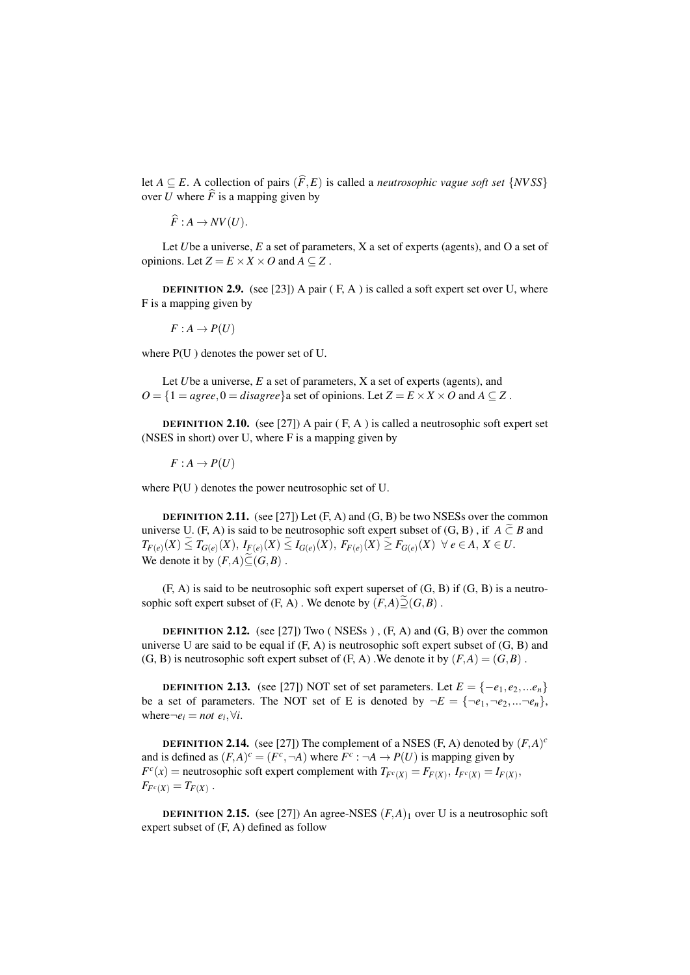let *A*  $\subseteq$  *E*. A collection of pairs  $(\widehat{F}, E)$  is called a *neutrosophic vague soft set* {*NVSS*} over *U* where  $\widehat{F}$  is a mapping given by

$$
\widehat{F}: A \to NV(U).
$$

Let *U*be a universe, *E* a set of parameters, *X* a set of experts (agents), and O a set of opinions. Let  $Z = E \times X \times O$  and  $A \subseteq Z$ .

**DEFINITION 2.9.** (see [23]) A pair  $(F, A)$  is called a soft expert set over U, where F is a mapping given by

$$
F: A \to P(U)
$$

where P(U ) denotes the power set of U.

Let *U*be a universe, *E* a set of parameters, *X* a set of experts (agents), and  $O = \{1 = \text{agree}, 0 = \text{disagree}\}$  a set of opinions. Let  $Z = E \times X \times O$  and  $A \subseteq Z$ .

**DEFINITION 2.10.** (see [27]) A pair  $(F, A)$  is called a neutrosophic soft expert set (NSES in short) over U, where F is a mapping given by

 $F: A \rightarrow P(U)$ 

where P(U ) denotes the power neutrosophic set of U.

**DEFINITION 2.11.** (see [27]) Let  $(F, A)$  and  $(G, B)$  be two NSESs over the common universe U. (F, A) is said to be neutrosophic soft expert subset of  $(G, B)$ , if  $A \tilde{\subset} B$  and  $T_{F(e)}(X) \leq T_{G(e)}(X),\ I_{F(e)}(X) \leq I_{G(e)}(X),\ F_{F(e)}(X) \geq F_{G(e)}(X)\ \ \forall\ e\in A,\ X\in U.$ We denote it by  $(F,A)\widetilde{\subset} (G,B)$ .

 $(F, A)$  is said to be neutrosophic soft expert superset of  $(G, B)$  if  $(G, B)$  is a neutrosophic soft expert subset of (F, A). We denote by  $(F, A) \tilde{\supseteq} (G, B)$ .

**DEFINITION 2.12.** (see [27]) Two (NSESs),  $(F, A)$  and  $(G, B)$  over the common universe U are said to be equal if  $(F, A)$  is neutrosophic soft expert subset of  $(G, B)$  and (G, B) is neutrosophic soft expert subset of  $(F, A)$ . We denote it by  $(F, A) = (G, B)$ .

**DEFINITION 2.13.** (see [27]) NOT set of set parameters. Let  $E = \{-e_1, e_2, ...e_n\}$ be a set of parameters. The NOT set of E is denoted by  $\neg E = {\neg e_1, \neg e_2, \dots \neg e_n}$ , where $\neg e_i = not \ e_i, \forall i$ .

**DEFINITION 2.14.** (see [27]) The complement of a NSES (F, A) denoted by  $(F, A)^c$ and is defined as  $(F,A)^c = (F^c, \neg A)$  where  $F^c : \neg A \rightarrow P(U)$  is mapping given by  $F^{c}(x)$  = neutrosophic soft expert complement with  $T_{F^{c}(X)} = F_{F(X)}$ ,  $I_{F^{c}(X)} = I_{F(X)}$ ,  $F_{F^c(X)} = T_{F(X)}$ .

**DEFINITION 2.15.** (see [27]) An agree-NSES  $(F, A)_1$  over U is a neutrosophic soft expert subset of (F, A) defined as follow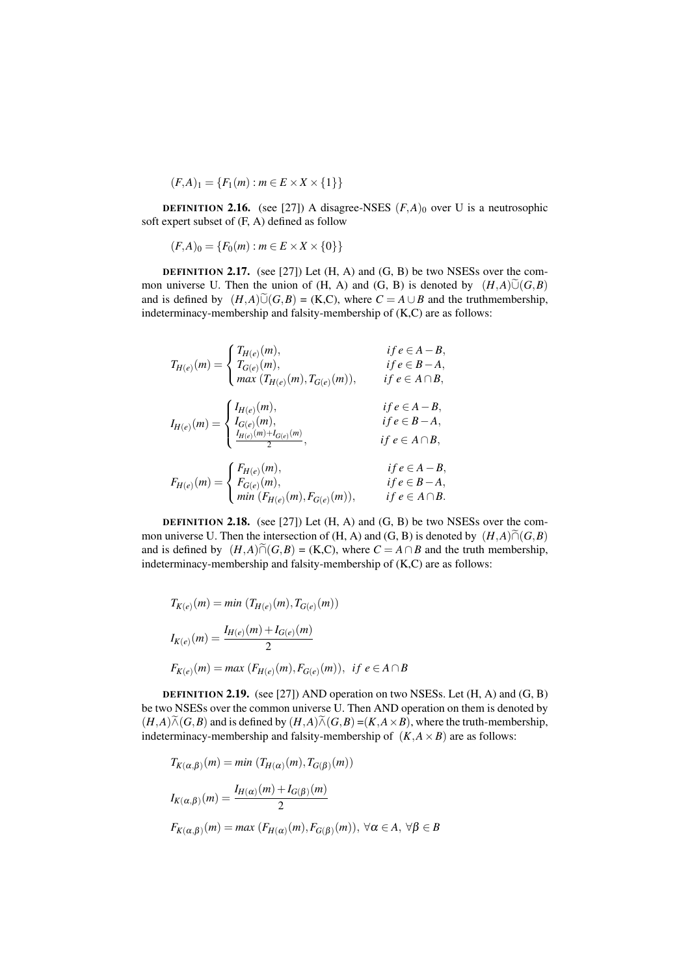$$
(F,A)_1 = \{F_1(m) : m \in E \times X \times \{1\}\}\
$$

**DEFINITION 2.16.** (see [27]) A disagree-NSES  $(F, A)$ <sup>0</sup> over U is a neutrosophic soft expert subset of (F, A) defined as follow

 $(F,A)_0 = \{F_0(m) : m \in E \times X \times \{0\}\}\$ 

DEFINITION 2.17. (see [27]) Let (H, A) and (G, B) be two NSESs over the common universe U. Then the union of (H, A) and (G, B) is denoted by  $(H, A)\tilde{\cup} (G, B)$ and is defined by  $(H,A)\tilde{\cup}(G,B) = (K,C)$ , where  $C = A \cup B$  and the truthmembership, indeterminacy-membership and falsity-membership of (K,C) are as follows:

$$
T_{H(e)}(m) = \begin{cases} T_{H(e)}(m), & if e \in A - B, \\ T_{G(e)}(m), & if e \in B - A, \\ max (T_{H(e)}(m), T_{G(e)}(m)), & if e \in A \cap B, \\ I_{G(e)}(m), & if e \in A - B, \\ \frac{I_{G(e)}(m),}{2}, & if e \in A - B, \\ \frac{I_{H(e)}(m) + I_{G(e)}(m)}{2}, & if e \in A \cap B, \\ F_{H(e)}(m) = \begin{cases} F_{H(e)}(m), & if e \in A - B, \\ F_{G(e)}(m), & if e \in A - B, \\ min (F_{H(e)}(m), F_{G(e)}(m)), & if e \in B - A, \\ min (F_{H(e)}(m), F_{G(e)}(m)), & if e \in A \cap B. \end{cases} \end{cases}
$$

**DEFINITION 2.18.** (see [27]) Let  $(H, A)$  and  $(G, B)$  be two NSESs over the common universe U. Then the intersection of (H, A) and (G, B) is denoted by  $(H, A) \tilde{\cap} (G, B)$ and is defined by  $(H,A)\widetilde{\cap}(G,B) = (K,C)$ , where  $C = A \cap B$  and the truth membership, indeterminacy-membership and falsity-membership of (K,C) are as follows:

$$
T_{K(e)}(m) = min (T_{H(e)}(m), T_{G(e)}(m))
$$
  
\n
$$
I_{K(e)}(m) = \frac{I_{H(e)}(m) + I_{G(e)}(m)}{2}
$$
  
\n
$$
F_{K(e)}(m) = max (F_{H(e)}(m), F_{G(e)}(m)), \text{ if } e \in A \cap B
$$

DEFINITION 2.19. (see [27]) AND operation on two NSESs. Let (H, A) and (G, B) be two NSESs over the common universe U. Then AND operation on them is denoted by  $(H,A)\widetilde{\wedge} (G,B)$  and is defined by  $(H,A)\widetilde{\wedge} (G,B) = (K,A\times B)$ , where the truth-membership, indeterminacy-membership and falsity-membership of  $(K, A \times B)$  are as follows:

$$
T_{K(\alpha,\beta)}(m) = \min (T_{H(\alpha)}(m), T_{G(\beta)}(m))
$$
  

$$
I_{K(\alpha,\beta)}(m) = \frac{I_{H(\alpha)}(m) + I_{G(\beta)}(m)}{2}
$$
  

$$
F_{K(\alpha,\beta)}(m) = \max (F_{H(\alpha)}(m), F_{G(\beta)}(m)), \ \forall \alpha \in A, \ \forall \beta \in B
$$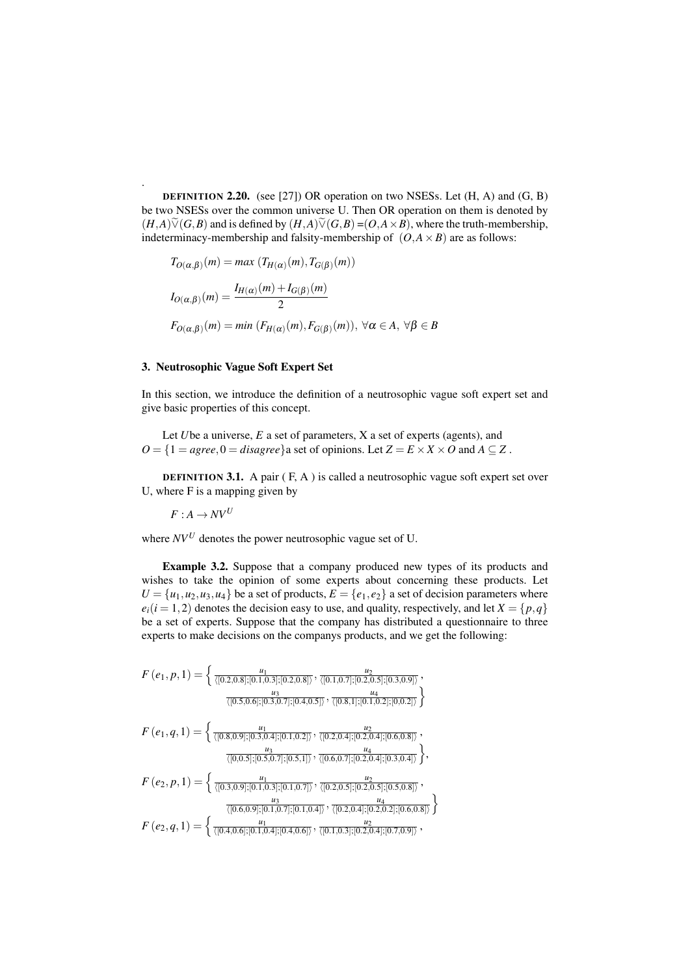DEFINITION 2.20. (see [27]) OR operation on two NSESs. Let (H, A) and (G, B) be two NSESs over the common universe U. Then OR operation on them is denoted by  $(H,A)\widetilde{\vee}(G,B)$  and is defined by  $(H,A)\widetilde{\vee}(G,B)=(O,A\times B)$ , where the truth-membership, indeterminacy-membership and falsity-membership of  $(O, A \times B)$  are as follows:

$$
T_{O(\alpha,\beta)}(m) = \max (T_{H(\alpha)}(m), T_{G(\beta)}(m))
$$
  
\n
$$
I_{O(\alpha,\beta)}(m) = \frac{I_{H(\alpha)}(m) + I_{G(\beta)}(m)}{2}
$$
  
\n
$$
F_{O(\alpha,\beta)}(m) = \min (F_{H(\alpha)}(m), F_{G(\beta)}(m)), \ \forall \alpha \in A, \ \forall \beta \in B
$$

### 3. Neutrosophic Vague Soft Expert Set

In this section, we introduce the definition of a neutrosophic vague soft expert set and give basic properties of this concept.

Let *U*be a universe, *E* a set of parameters, *X* a set of experts (agents), and  $O = \{1 = \text{agree}, 0 = \text{disagree}\}$  a set of opinions. Let  $Z = E \times X \times O$  and  $A \subseteq Z$ .

DEFINITION 3.1. A pair ( F, A ) is called a neutrosophic vague soft expert set over U, where F is a mapping given by

$$
F: A \to NV^U
$$

.

where  $N V^U$  denotes the power neutrosophic vague set of U.

Example 3.2. Suppose that a company produced new types of its products and wishes to take the opinion of some experts about concerning these products. Let  $U = \{u_1, u_2, u_3, u_4\}$  be a set of products,  $E = \{e_1, e_2\}$  a set of decision parameters where  $e_i(i = 1, 2)$  denotes the decision easy to use, and quality, respectively, and let  $X = \{p, q\}$ be a set of experts. Suppose that the company has distributed a questionnaire to three experts to make decisions on the companys products, and we get the following:

$$
F(e_1, p, 1) = \left\{ \frac{u_1}{\langle [0.2, 0.8], [0.1, 0.3], [0.2, 0.8] \rangle}, \frac{u_2}{\langle [0.1, 0.7], [0.2, 0.5], [0.3, 0.9] \rangle}, \frac{u_3}{\langle [0.5, 0.6], [0.3, 0.7], [0.4, 0.5] \rangle}, \frac{u_4}{\langle [0.8, 0.9], [0.3, 0.7], [0.4, 0.5] \rangle}, \frac{u_2}{\langle [0.8, 1], [0.1, 0.2], [0, 0.2] \rangle} \right\}
$$
\n
$$
F(e_1, q, 1) = \left\{ \frac{u_1}{\langle [0.8, 0.9], [0.3, 0.4], [0.1, 0.2] \rangle}, \frac{u_2}{\langle [0.2, 0.4], [0.2, 0.4], [0.5, 0.8] \rangle}, \frac{u_4}{\langle [0.4, 0.5], [0.5, 0.7], [0.1, 0.7] \rangle}, \frac{u_2}{\langle [0.2, 0.5], [0.2, 0.5], [0.5, 0.8] \rangle}, \frac{u_3}{\langle [0.6, 0.9], [0.1, 0.7], [0.1, 0.4] \rangle}, \frac{u_4}{\langle [0.2, 0.4], [0.2, 0.2], [0.6, 0.8] \rangle} \right\}
$$
\n
$$
F(e_2, q, 1) = \left\{ \frac{u_1}{\langle [0.4, 0.6], [0.1, 0.4], [0.4, 0.6] \rangle}, \frac{u_2}{\langle [0.1, 0.3], [0.2, 0.4], [0.7, 0.9] \rangle}, \frac{u_2}{\langle [0.7, 0.1], [0.7, 0.9] \rangle}, \frac{u_2}{\langle [0.4, 0.6], [0.1, 0.4], [0.4, 0.6] \rangle}, \frac{u_2}{\langle [0.1, 0.3], [0.7, 0.9] \rangle} \right\}
$$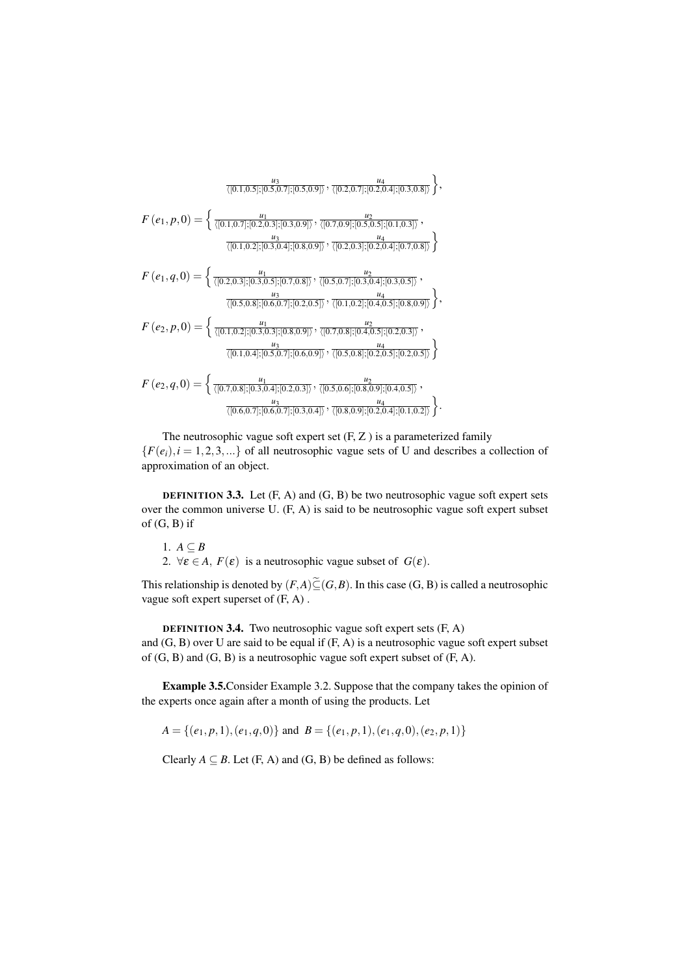$$
F(e_1, p, 0) = \begin{cases} \frac{u_1}{\langle [0.1, 0.5]; [0.5, 0.7]; [0.3, 0.9]\rangle}, \frac{u_2}{\langle [0.7, 0.9]; [0.2, 0.4]; [0.3, 0.8]\rangle} \end{cases},
$$
  
\n
$$
F(e_1, p, 0) = \begin{cases} \frac{u_1}{\langle [0.1, 0.7]; [0.2, 0.3]; [0.3, 0.9]\rangle}, \frac{u_2}{\langle [0.7, 0.9]; [0.5, 0.5]; [0.1, 0.3]\rangle}, \\ \frac{u_3}{\langle [0.1, 0.2]; [0.3, 0.4]; [0.8, 0.9]\rangle}, \frac{u_4}{\langle [0.2, 0.3]; [0.2, 0.4]; [0.2, 0.5]\rangle} \end{cases},
$$
  
\n
$$
F(e_1, q, 0) = \begin{cases} \frac{u_1}{\langle [0.2, 0.3]; [0.3, 0.5]; [0.7, 0.8]\rangle}, \frac{u_2}{\langle [0.5, 0.7]; [0.3, 0.4]; [0.3, 0.5]\rangle}, \\ \frac{u_3}{\langle [0.5, 0.8]; [0.6, 0.7]; [0.2, 0.5]\rangle}, \frac{u_2}{\langle [0.1, 0.2]; [0.4, 0.5]; [0.8, 0.9]\rangle} \end{cases},
$$
  
\n
$$
F(e_2, p, 0) = \begin{cases} \frac{u_1}{\langle [0.1, 0.2]; [0.3, 0.3]; [0.8, 0.9]\rangle}, \frac{u_2}{\langle [0.7, 0.8]; [0.4, 0.5]; [0.2, 0.3]\rangle}, \\ \frac{u_3}{\langle [0.1, 0.4]; [0.5, 0.7]; [0.6, 0.9]\rangle}, \frac{u_2}{\langle [0.5, 0.8]; [0.2, 0.5]; [0.2, 0.5]\rangle} \end{cases},
$$
  
\n
$$
F(e_2, q, 0) = \begin{cases} \frac{u_1}{\langle [0.7, 0.8]; [0.3, 0.4]; [0.2,
$$

The neutrosophic vague soft expert set  $(F, Z)$  is a parameterized family  ${F(e_i), i = 1, 2, 3, ...}$  of all neutrosophic vague sets of U and describes a collection of approximation of an object.

**DEFINITION 3.3.** Let  $(F, A)$  and  $(G, B)$  be two neutrosophic vague soft expert sets over the common universe U. (F, A) is said to be neutrosophic vague soft expert subset of  $(G, B)$  if

- 1.  $A \subseteq B$
- 2.  $\forall \varepsilon \in A$ ,  $F(\varepsilon)$  is a neutrosophic vague subset of  $G(\varepsilon)$ .

This relationship is denoted by  $(F,A)\widetilde{\subseteq} (G,B)$ . In this case  $(G,B)$  is called a neutrosophic vague soft expert superset of (F, A).

**DEFINITION 3.4.** Two neutrosophic vague soft expert sets  $(F, A)$ and  $(G, B)$  over U are said to be equal if  $(F, A)$  is a neutrosophic vague soft expert subset of  $(G, B)$  and  $(G, B)$  is a neutrosophic vague soft expert subset of  $(F, A)$ .

**Example 3.5.** Consider Example 3.2. Suppose that the company takes the opinion of the experts once again after a month of using the products. Let

 $A = \{(e_1, p, 1), (e_1, q, 0)\}\$ and  $B = \{(e_1, p, 1), (e_1, q, 0), (e_2, p, 1)\}\$ 

Clearly  $A \subseteq B$ . Let  $(F, A)$  and  $(G, B)$  be defined as follows: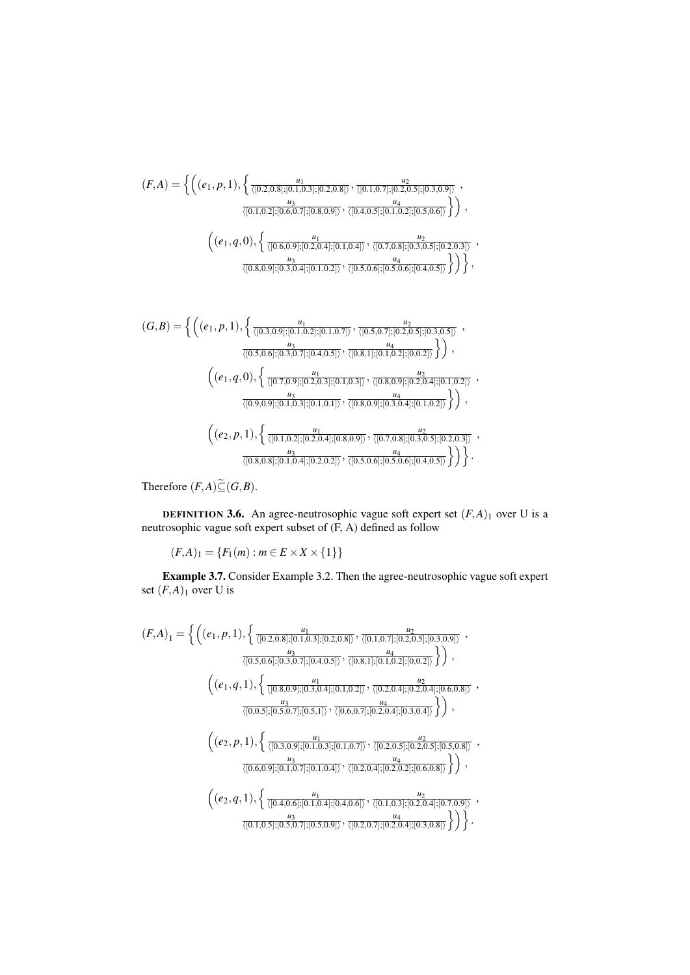$$
(F,A) = \left\{ \left( (e_1, p, 1), \left\{ \frac{u_1}{\langle [0.2, 0.8]; [0.1, 0.3]; [0.2, 0.8] \rangle}, \frac{u_2}{\langle [0.1, 0.7]; [0.2, 0.5]; [0.3, 0.9] \rangle}, \frac{u_3}{\langle [0.1, 0.2]; [0.6, 0.7]; [0.8, 0.9] \rangle}, \frac{u_4}{\langle [0.4, 0.5]; [0.1, 0.2]; [0.5, 0.6] \rangle} \right) \right\},\
$$

$$
\left( (e_1, q, 0), \left\{ \frac{u_1}{\langle [0.6, 0.9]; [0.2, 0.4]; [0.1, 0.4] \rangle}, \frac{u_2}{\langle [0.7, 0.8]; [0.3, 0.5]; [0.2, 0.3] \rangle}, \frac{u_3}{\langle [0.8, 0.9]; [0.3, 0.4]; [0.1, 0.2] \rangle}, \frac{u_4}{\langle [0.5, 0.6]; [0.5, 0.6]; [0.4, 0.5] \rangle} \right) \right\},
$$

$$
(G, B) = \left\{ \left( (e_1, p, 1), \left\{ \frac{u_1}{\langle [0.3, 0.9]; [0.1, 0.2]; [0.1, 0.7] \rangle}, \frac{u_2}{\langle [0.5, 0.7]; [0.2, 0.5]; [0.3, 0.5] \rangle}, \frac{u_2}{\langle [0.3, 0.5], [0.3, 0.5] \rangle} \right) \right\},
$$

$$
\frac{u_3}{\langle [0.5,0.6]; [0.3,0.7]; [0.4,0.5] \rangle}, \frac{u_4}{\langle [0.8,1]; [0.1,0.2]; [0,0.2] \rangle} \rangle),
$$
  

$$
\left( (e_1, q, 0), \left\{ \frac{u_1}{\langle [0.7,0.9]; [0.2,0.3]; [0.1,0.3] \rangle}, \frac{u_2}{\langle [0.8,0.9]; [0.2,0.4]; [0.1,0.2] \rangle}, \frac{u_3}{\langle [0.9,0.9]; [0.1,0.3]; [0.1,0.1] \rangle}, \frac{u_4}{\langle [0.8,0.9]; [0.3,0.4]; [0.1,0.2] \rangle} \right\} \right),
$$
  

$$
\left( (e_2, p, 1), \left\{ \frac{u_1}{\langle [0.1,0.2]; [0.2,0.4]; [0.8,0.9] \rangle}, \frac{u_2}{\langle [0.7,0.8]; [0.3,0.5]; [0.2,0.3] \rangle}, \frac{u_2}{\langle [0.8,0.8]; [0.1,0.4]; [0.2,0.2] \rangle}, \frac{u_3}{\langle [0.5,0.6]; [0.5,0.6]; [0.4,0.5] \rangle} \right\} \right).
$$

Therefore  $(F,A)\widetilde{\subseteq} (G,B)$ .

**DEFINITION 3.6.** An agree-neutrosophic vague soft expert set  $(F,A)_1$  over U is a neutrosophic vague soft expert subset of  $(F, A)$  defined as follow

 $(F,A)_1 = \{F_1(m) : m \in E \times X \times \{1\}\}\$ 

**Example 3.7.** Consider Example 3.2. Then the agree-neutrosophic vague soft expert set  $(F,A)_1$  over U is

$$
(F,A)_1 = \left\{ \left( (e_1, p, 1), \left\{ \frac{u_1}{\langle [0.2,0.8]; [0.1,0.3]; [0.2,0.8] \rangle}, \frac{u_2}{\langle [0.1,0.7]; [0.2,0.5]; [0.3,0.9] \rangle}, \frac{u_3}{\langle [0.5,0.6]; [0.3,0.7]; [0.4,0.5] \rangle}, \frac{u_4}{\langle [0.8,1]; [0.1,0.2]; [0.0.2] \rangle} \right) \right\},\
$$

$$
\left( (e_1, q, 1), \left\{ \frac{u_1}{\langle [0.8,0.9]; [0.3,0.4]; [0.1,0.2] \rangle}, \frac{u_2}{\langle [0.2,0.4]; [0.2,0.4]; [0.6,0.8] \rangle}, \frac{u_3}{\langle [0,0.5]; [0.5,0.7]; [0.5,1] \rangle}, \frac{u_4}{\langle [0.6,0.7]; [0.2,0.4]; [0.3,0.4] \rangle} \right) \right\},\
$$

$$
\left( (e_2, p, 1), \left\{ \frac{u_1}{\langle [0.3,0.9]; [0.1,0.3]; [0.1,0.7] \rangle}, \frac{u_2}{\langle [0.2,0.5]; [0.2,0.5]; [0.5,0.8] \rangle}, \frac{u_3}{\langle [0.6,0.9]; [0.1,0.7]; [0.1,0.4] \rangle}, \frac{u_4}{\langle [0.2,0.4]; [0.2,0.2]; [0.6,0.8] \rangle} \right) \right\},\
$$

$$
\left( (e_2, q, 1), \left\{ \frac{u_1}{\langle [0.4,0.6]; [0.1,0.4]; [0.4,0.6] \rangle}, \frac{u_2}{\langle [0.1,0.3]; [0.2,0.4]; [0.2,0.4]; [0.7,0.9] \rangle}, \frac{u_3}{\langle [0.1,0.5]; [0.5,0.9] \rangle}, \frac{u_4}{\langle [0.2,0.7]; [0.2,0.4]; [0.3,0.8] \rangle} \right) \right\}.
$$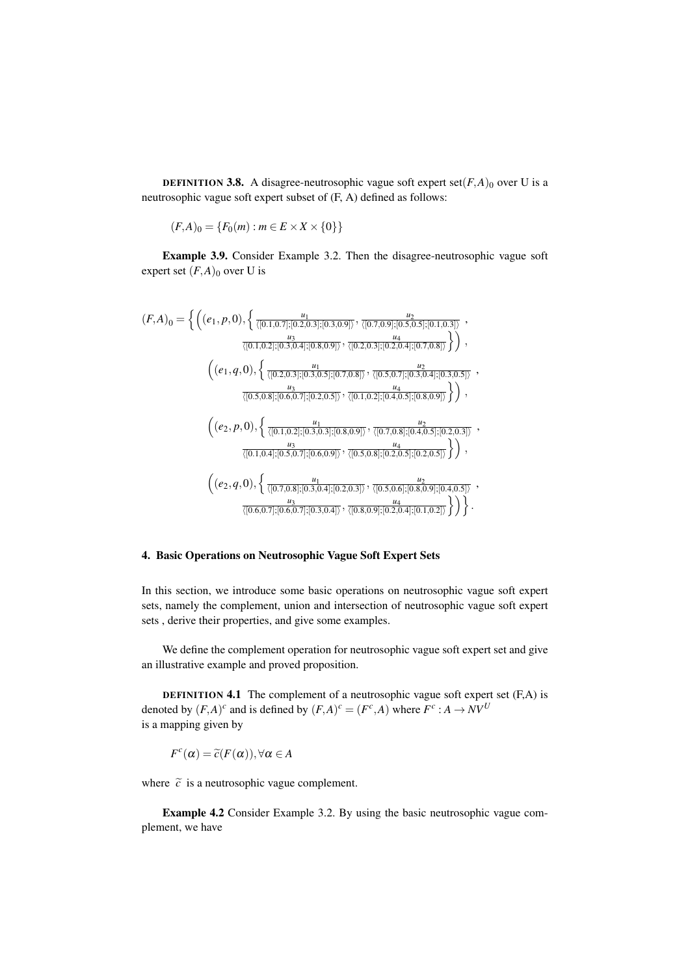**DEFINITION 3.8.** A disagree-neutrosophic vague soft expert set( $F$ , $A$ )<sub>0</sub> over U is a neutrosophic vague soft expert subset of (F, A) defined as follows:

$$
(F,A)_0 = \{F_0(m) : m \in E \times X \times \{0\}\}\
$$

Example 3.9. Consider Example 3.2. Then the disagree-neutrosophic vague soft expert set  $(F,A)_0$  over U is

$$
(F,A)_0 = \left\{ \left( (e_1, p, 0), \left\{ \frac{u_1}{\langle [0.1, 0.7]; [0.2, 0.3]; [0.3, 0.9] \rangle}, \frac{u_2}{\langle [0.7, 0.9]; [0.5, 0.5]; [0.1, 0.3] \rangle} \right), \frac{u_3}{\langle [0.1, 0.2]; [0.3, 0.4]; [0.8, 0.9] \rangle}, \frac{u_4}{\langle [0.2, 0.3]; [0.2, 0.4]; [0.7, 0.8] \rangle} \right) \right\},\
$$
  

$$
\left( (e_1, q, 0), \left\{ \frac{u_1}{\langle [0.2, 0.3]; [0.3, 0.5]; [0.7, 0.8] \rangle}, \frac{u_2}{\langle [0.5, 0.7]; [0.3, 0.4]; [0.3, 0.5] \rangle}, \frac{u_2}{\langle [0.5, 0.8]; [0.6, 0.7]; [0.2, 0.5] \rangle}, \frac{u_3}{\langle [0.1, 0.2]; [0.3, 0.3] \rangle}, \frac{u_4}{\langle [0.1, 0.2]; [0.3, 0.3] \rangle}, \frac{u_2}{\langle [0.1, 0.2]; [0.3, 0.3] \rangle}, \frac{u_2}{\langle [0.1, 0.4]; [0.5, 0.7]; [0.5, 0.9] \rangle}, \frac{u_2}{\langle [0.7, 0.8]; [0.2, 0.5] \rangle} \right) \right\},\
$$
  

$$
\left( (e_2, q, 0), \left\{ \frac{u_1}{\langle [0.7, 0.8]; [0.3, 0.4]; [0.2, 0.3] \rangle}, \frac{u_4}{\langle [0.5, 0.5]; [0.2, 0.5] \rangle}, \frac{u_2}{\langle [0.5, 0.6]; [0.2, 0.5] \rangle} \right) \right\},\
$$
  

$$
\left( (e_2, q, 0), \left\{ \frac{u_1}{\langle [0.7, 0.8]; [0.3, 0.4]; [0.2, 0.3] \rangle}, \frac{u_2}{\langle [0.5, 0
$$

# 4. Basic Operations on Neutrosophic Vague Soft Expert Sets

In this section, we introduce some basic operations on neutrosophic vague soft expert sets, namely the complement, union and intersection of neutrosophic vague soft expert sets , derive their properties, and give some examples.

We define the complement operation for neutrosophic vague soft expert set and give an illustrative example and proved proposition.

**DEFINITION 4.1** The complement of a neutrosophic vague soft expert set  $(F, A)$  is denoted by  $(F,A)^c$  and is defined by  $(F,A)^c = (F^c,A)$  where  $F^c : A \to NV^U$ is a mapping given by

$$
F^{c}(\alpha) = \widetilde{c}(F(\alpha)), \forall \alpha \in A
$$

where  $\tilde{c}$  is a neutrosophic vague complement.

Example 4.2 Consider Example 3.2. By using the basic neutrosophic vague complement, we have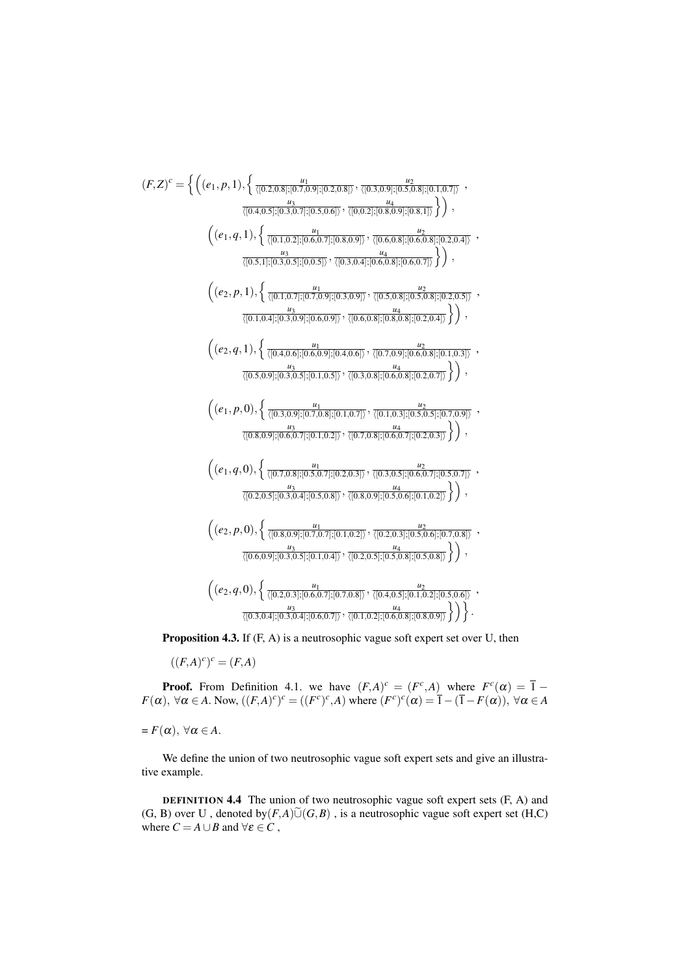$$
(F,Z)^{c} = \left\{ \left( (e_1, p, 1), \left\{ \frac{u_1}{\langle [0.2, 0.8], [0.3, 0.9], [0.2, 0.8] \rangle}, \frac{u_2}{\langle [0.3, 0.9], [0.5, 0.8], [0.5, 0.7] \rangle}, \frac{u_3}{\langle [0.4, 0.5], [0.3, 0.7], [0.5, 0.6] \rangle}, \frac{u_4}{\langle [0.5, 1], [0.3, 0.7], [0.5, 0.9] \rangle}, \frac{u_5}{\langle [0.6, 0.8], [0.6, 0.8], [0.2, 0.4] \rangle}, \frac{u_6}{\langle [0.5, 1], [0.3, 0.5], [0.0.5], [0.5, 0.9] \rangle}, \frac{u_7}{\langle [0.5, 0.8], [0.5, 0.8], [0.5, 0.7] \rangle} \right) \right\},\
$$
  

$$
\left( (e_2, p, 1), \left\{ \frac{u_1}{\langle [0.1, 0.7], [0.7, 0.9], [0.3, 0.9] \rangle}, \frac{u_2}{\langle [0.5, 0.8], [0.5, 0.8], [0.5, 0.5], [0.2, 0.5] \rangle}, \frac{u_3}{\langle [0.1, 0.4], [0.3, 0.9], [0.5, 0.9] \rangle}, \frac{u_2}{\langle [0.5, 0.9], [0.5, 0.9] \rangle}, \frac{u_3}{\langle [0.5, 0.9], [0.5, 0.9], [0.5, 0.8], [0.2, 0.4] \rangle} \right) \right),\
$$
  

$$
\left( (e_2, q, 1), \left\{ \frac{u_1}{\langle [0.4, 0.6], [0.5, 0.9], [0.4, 0.6] \rangle}, \frac{u_1}{\langle [0.5, 0.8], [0.5, 0.8], [0.2, 0.4] \rangle} \right\} \right),\
$$

$$
\left( (e_1, p, 0), \left\{ \frac{u_1}{\langle [0.3, 0.9], [0.5, 0.7], [0
$$

**Proposition 4.3.** If  $(F, A)$  is a neutrosophic vague soft expert set over U, then

$$
((F,A)^c)^c = (F,A)
$$

**Proof.** From Definition 4.1. we have  $(F,A)^c = (F^c,A)$  where  $F^c(\alpha) = \overline{1} - F(\alpha)$ ,  $\forall \alpha \in A$ . Now,  $((F,A)^c)^c = ((F^c)^c, A)$  where  $(F^c)^c(\alpha) = \overline{1} - (\overline{1} - F(\alpha))$ ,  $\forall \alpha \in A$ 

 $= F(\alpha), \forall \alpha \in A.$ 

We define the union of two neutrosophic vague soft expert sets and give an illustrative example.

**DEFINITION 4.4** The union of two neutrosophic vague soft expert sets (F, A) and  $(G, B)$  over U, denoted by  $(F,A)\tilde{\cup}(G,B)$ , is a neutrosophic vague soft expert set  $(H,C)$ where  $C = A \cup B$  and  $\forall \varepsilon \in C$  ,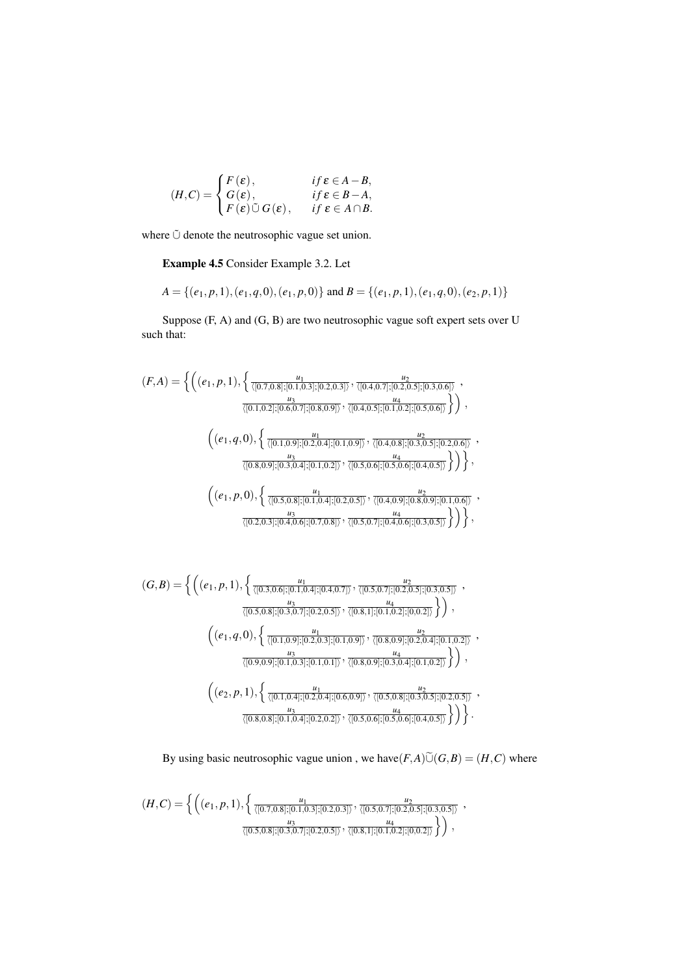$$
(H,C) = \begin{cases} F(\varepsilon), & \text{if } \varepsilon \in A - B, \\ G(\varepsilon), & \text{if } \varepsilon \in B - A, \\ F(\varepsilon) \tilde{\cup} G(\varepsilon), & \text{if } \varepsilon \in A \cap B. \end{cases}
$$

where **Ú** denote the neutrosophic vague set union.

Example 4.5 Consider Example 3.2. Let

$$
A = \{ (e_1, p, 1), (e_1, q, 0), (e_1, p, 0) \} \text{ and } B = \{ (e_1, p, 1), (e_1, q, 0), (e_2, p, 1) \}
$$

Suppose (F, A) and (G, B) are two neutrosophic vague soft expert sets over U such that:

$$
(F,A) = \left\{ \left( (e_1, p, 1), \left\{ \frac{u_1}{\langle [0.7, 0.8]; [0.1, 0.3]; [0.2, 0.3] \rangle}, \frac{u_2}{\langle [0.4, 0.7]; [0.2, 0.5]; [0.3, 0.6] \rangle}, \frac{u_3}{\langle [0.1, 0.2]; [0.6, 0.7]; [0.8, 0.9] \rangle}, \frac{u_4}{\langle [0.4, 0.5]; [0.1, 0.2]; [0.5, 0.6] \rangle} \right) \right\},\
$$

$$
\left( (e_1, q, 0), \left\{ \frac{u_1}{\langle [0.1, 0.9]; [0.2, 0.4]; [0.1, 0.9] \rangle}, \frac{u_2}{\langle [0.4, 0.8]; [0.3, 0.5]; [0.2, 0.6] \rangle}, \frac{u_3}{\langle [0.8, 0.9]; [0.3, 0.4]; [0.1, 0.2] \rangle}, \frac{u_4}{\langle [0.5, 0.8]; [0.1, 0.2] \rangle}, \frac{u_4}{\langle [0.5, 0.8]; [0.1, 0.5] \rangle} \right) \right\},\
$$

$$
\left( (e_1, p, 0), \left\{ \frac{u_1}{\langle [0.5, 0.8]; [0.1, 0.4]; [0.2, 0.5] \rangle}, \frac{u_2}{\langle [0.4, 0.9]; [0.8, 0.9]; [0.1, 0.6] \rangle}, \frac{u_3}{\langle [0.2, 0.3]; [0.4, 0.6]; [0.7, 0.8] \rangle}, \frac{u_4}{\langle [0.5, 0.7]; [0.4, 0.6]; [0.3, 0.5] \rangle} \right) \right\},
$$

$$
(G,B) = \left\{ \left( (e_1, p, 1), \left\{ \frac{u_1}{\langle [0.3, 0.6]; [0.1, 0.4]; [0.4, 0.7] \rangle}, \frac{u_2}{\langle [0.5, 0.7]; [0.2, 0.5]; [0.3, 0.5] \rangle}, \frac{u_3}{\langle [0.5, 0.8]; [0.3, 0.7]; [0.2, 0.5] \rangle}, \frac{u_4}{\langle [0.8, 1]; [0.1, 0.2]; [0.0.2] \rangle} \right) \right\},\
$$

$$
\left( (e_1, q, 0), \left\{ \frac{u_1}{\langle [0.1, 0.9]; [0.2, 0.3]; [0.1, 0.9] \rangle}, \frac{u_2}{\langle [0.8, 0.9]; [0.2, 0.4]; [0.1, 0.2] \rangle}, \frac{u_3}{\langle [0.9, 0.9]; [0.1, 0.3]; [0.1, 0.1] \rangle}, \frac{u_4}{\langle [0.8, 0.9]; [0.3, 0.4]; [0.1, 0.2] \rangle} \right) \right\},\
$$

$$
\left( (e_2, p, 1), \left\{ \frac{u_1}{\langle [0.1, 0.4]; [0.2, 0.4]; [0.6, 0.9] \rangle}, \frac{u_2}{\langle [0.5, 0.8]; [0.3, 0.5]; [0.2, 0.5] \rangle}, \frac{u_3}{\langle [0.8, 0.8]; [0.1, 0.4]; [0.2, 0.2] \rangle}, \frac{u_4}{\langle [0.5, 0.6]; [0.5, 0.6]; [0.4, 0.5] \rangle} \right) \right\}.
$$

By using basic neutrosophic vague union, we have  $(F, A)$  $\tilde{\cup}$  $(G, B) = (H, C)$  where

$$
(H,C) = \left\{ \left( (e_1, p, 1), \left\{ \frac{u_1}{\langle [0.7, 0.8]; [0.1, 0.3]; [0.2, 0.3] \rangle}, \frac{u_2}{\langle [0.5, 0.7]; [0.2, 0.5]; [0.3, 0.5] \rangle} \right), \frac{u_3}{\langle [0.5, 0.8]; [0.3, 0.7]; [0.2, 0.5] \rangle}, \frac{u_4}{\langle [0.8, 1]; [0.1, 0.2]; [0, 0.2] \rangle} \right) \right\},\
$$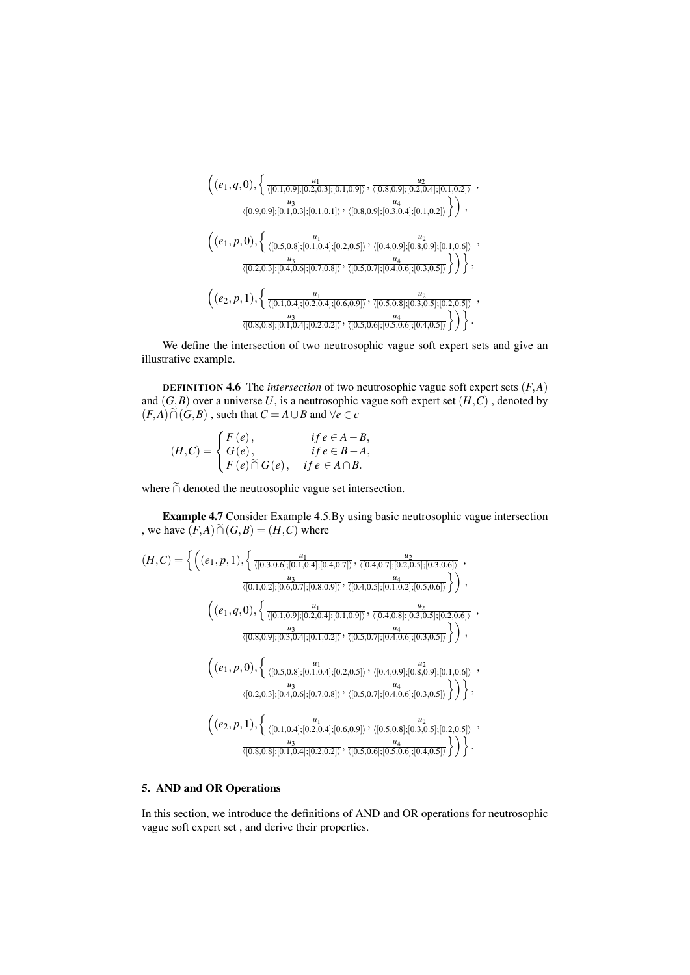$$
\left( (e_1, q, 0), \left\{ \frac{u_1}{\langle [0.1, 0.9]; [0.2, 0.3]; [0.1, 0.9] \rangle}, \frac{u_2}{\langle [0.8, 0.9]; [0.2, 0.4]; [0.1, 0.2] \rangle}, \frac{u_3}{\langle [0.9, 0.9]; [0.1, 0.3]; [0.1, 0.1] \rangle}, \frac{u_4}{\langle [0.8, 0.9]; [0.3, 0.4]; [0.1, 0.2] \rangle} \right), \n\left( (e_1, p, 0), \left\{ \frac{u_1}{\langle [0.5, 0.8]; [0.1, 0.4]; [0.2, 0.5] \rangle}, \frac{u_2}{\langle [0.4, 0.9]; [0.8, 0.9]; [0.1, 0.6] \rangle}, \frac{u_3}{\langle [0.2, 0.3]; [0.4, 0.6]; [0.7, 0.8] \rangle}, \frac{u_4}{\langle [0.5, 0.7]; [0.4, 0.6]; [0.3, 0.5] \rangle} \right) \right\}, \n\left( (e_2, p, 1), \left\{ \frac{u_1}{\langle [0.1, 0.4]; [0.2, 0.4]; [0.6, 0.9] \rangle}, \frac{u_2}{\langle [0.5, 0.8]; [0.3, 0.5]; [0.2, 0.5] \rangle}, \frac{u_3}{\langle [0.8, 0.8]; [0.1, 0.4]; [0.2, 0.2] \rangle}, \frac{u_4}{\langle [0.5, 0.6]; [0.5, 0.6]; [0.4, 0.5] \rangle} \right) \right\}.
$$

We define the intersection of two neutrosophic vague soft expert sets and give an illustrative example.

DEFINITION 4.6 The *intersection* of two neutrosophic vague soft expert sets (*F*,*A*) and  $(G, B)$  over a universe U, is a neutrosophic vague soft expert set  $(H, C)$ , denoted by  $(F, A) \cap (G, B)$ , such that  $C = A \cup B$  and  $\forall e \in C$ 

$$
(H,C) = \begin{cases} F(e), & if e \in A - B, \\ G(e), & if e \in B - A, \\ F(e) \cap G(e), & if e \in A \cap B. \end{cases}
$$

where  $\tilde{\cap}$  denoted the neutrosophic vague set intersection.

Example 4.7 Consider Example 4.5.By using basic neutrosophic vague intersection , we have  $(F,A) \widetilde{\cap} (G,B) = (H,C)$  where

$$
(H,C) = \left\{ \left( (e_1, p, 1), \left\{ \frac{u_1}{\langle [0.3, 0.6], [0.1, 0.4], [0.4, 0.7] \rangle}, \frac{u_2}{\langle [0.4, 0.7], [0.2, 0.5], [0.3, 0.6] \rangle} \right), \frac{u_3}{\langle [0.1, 0.2], [0.6, 0.7], [0.8, 0.9] \rangle}, \frac{u_4}{\langle [0.4, 0.5], [0.1, 0.2], [0.5, 0.6] \rangle} \right\} \right),
$$
  

$$
\left( (e_1, q, 0), \left\{ \frac{u_1}{\langle [0.1, 0.9], [0.2, 0.4], [0.1, 0.9] \rangle}, \frac{u_2}{\langle [0.4, 0.8], [0.3, 0.5], [0.2, 0.6] \rangle} \right\} \right),
$$
  

$$
\frac{u_3}{\langle [0.8, 0.9], [0.3, 0.4], [0.1, 0.2] \rangle}, \frac{u_4}{\langle [0.5, 0.7], [0.4, 0.6], [0.3, 0.5] \rangle} \right\} \right),
$$
  

$$
\left( (e_1, p, 0), \left\{ \frac{u_1}{\langle [0.5, 0.8], [0.1, 0.4], [0.2, 0.5] \rangle}, \frac{u_2}{\langle [0.4, 0.9], [0.8, 0.9], [0.1, 0.6] \rangle} \right\} \right),
$$
  

$$
\left( (e_2, p, 1), \left\{ \frac{u_1}{\langle [0.1, 0.4], [0.2, 0.4], [0.5, 0.9] \rangle}, \frac{u_4}{\langle [0.5, 0.7], [0.4, 0.6], [0.3, 0.5] \rangle} \right\} \right),
$$
  

$$
\frac{u_3}{\langle [0.8, 0.8], [0.1, 0.4], [0.2, 0.2] \rangle}, \frac{u_4}{\langle [0.5, 0.6], [0.5, 0.5], [0.3, 0.5] \rangle} \right\}.
$$

# 5. AND and OR Operations

In this section, we introduce the definitions of AND and OR operations for neutrosophic vague soft expert set , and derive their properties.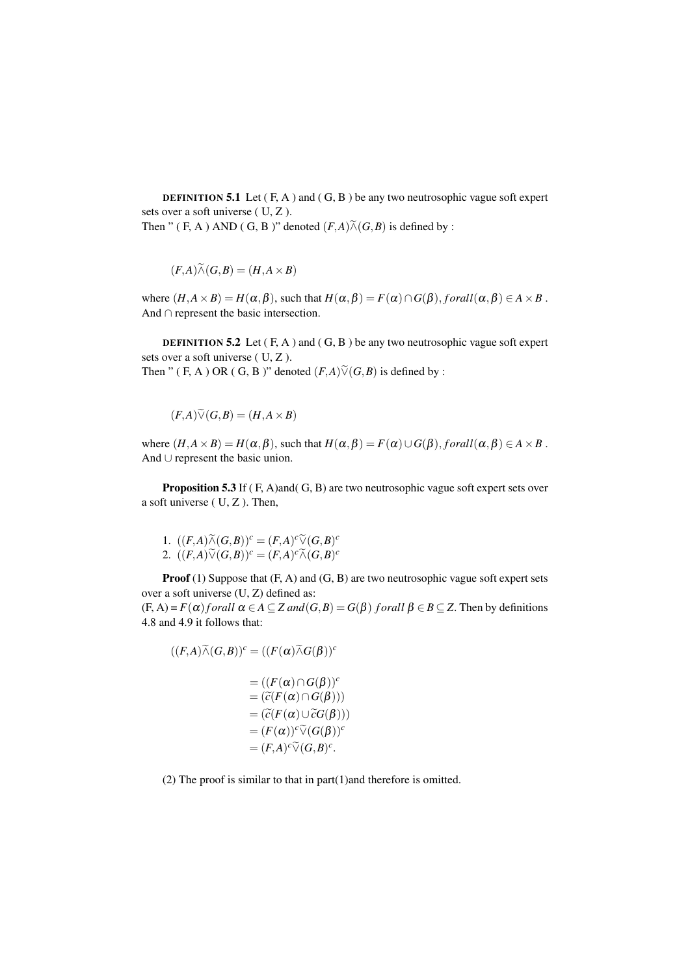**DEFINITION 5.1** Let  $(F, A)$  and  $(G, B)$  be any two neutrosophic vague soft expert sets over a soft universe ( U, Z ).

Then " ( F, A ) AND ( G, B )" denoted 
$$
(F,A)\widetilde{\wedge} (G,B)
$$
 is defined by :

$$
(F,A)\widetilde{\wedge} (G,B) = (H,A \times B)
$$

where  $(H, A \times B) = H(\alpha, \beta)$ , such that  $H(\alpha, \beta) = F(\alpha) \cap G(\beta)$ , *forall* $(\alpha, \beta) \in A \times B$ . And ∩ represent the basic intersection.

**DEFINITION 5.2** Let  $(F, A)$  and  $(G, B)$  be any two neutrosophic vague soft expert sets over a soft universe ( U, Z ). Then " (F, A) OR (G, B)" denoted  $(F, A)$  $\widetilde{\vee}$  $(G, B)$  is defined by :

$$
f_{\rm{max}}
$$

 $(F,A)\widetilde{\vee}(G,B) = (H,A\times B)$ 

where  $(H, A \times B) = H(\alpha, \beta)$ , such that  $H(\alpha, \beta) = F(\alpha) \cup G(\beta)$ , *forall* $(\alpha, \beta) \in A \times B$ . And ∪ represent the basic union.

Proposition 5.3 If (F, A)and(G, B) are two neutrosophic vague soft expert sets over a soft universe ( U, Z ). Then,

1. 
$$
((F,A)\widetilde{\wedge} (G,B))^c = (F,A)^c \widetilde{\vee} (G,B)^c
$$
  
2.  $((F,A)\widetilde{\vee} (G,B))^c = (F,A)^c \widetilde{\wedge} (G,B)^c$ 

Proof (1) Suppose that  $(F, A)$  and  $(G, B)$  are two neutrosophic vague soft expert sets over a soft universe (U, Z) defined as:  $(F, A) = F(\alpha)$  *f* orall  $\alpha \in A \subseteq Z$  and  $(G, B) = G(\beta)$  *f* orall  $\beta \in B \subseteq Z$ . Then by definitions

4.8 and 4.9 it follows that:

$$
((F,A)\widetilde{\wedge} (G,B))^c = ((F(\alpha)\widetilde{\wedge} G(\beta))^c
$$
  

$$
= ((F(\alpha) \cap G(\beta))^c
$$
  

$$
= (\widetilde{c}(F(\alpha) \cap G(\beta)))
$$
  

$$
= (\widetilde{c}(F(\alpha) \cup \widetilde{c}G(\beta)))
$$
  

$$
= (F(\alpha))^c \widetilde{\vee} (G(\beta))^c
$$
  

$$
= (F,A)^c \widetilde{\vee} (G,B)^c.
$$

(2) The proof is similar to that in part(1)and therefore is omitted.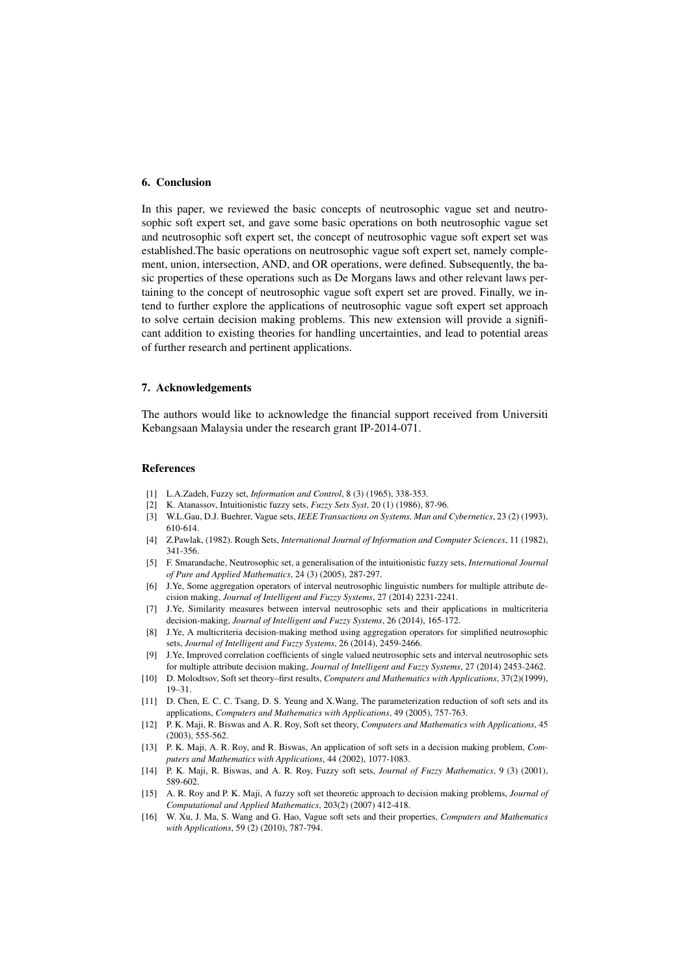## 6. Conclusion

In this paper, we reviewed the basic concepts of neutrosophic vague set and neutrosophic soft expert set, and gave some basic operations on both neutrosophic vague set and neutrosophic soft expert set, the concept of neutrosophic vague soft expert set was established.The basic operations on neutrosophic vague soft expert set, namely complement, union, intersection, AND, and OR operations, were defined. Subsequently, the basic properties of these operations such as De Morgans laws and other relevant laws pertaining to the concept of neutrosophic vague soft expert set are proved. Finally, we intend to further explore the applications of neutrosophic vague soft expert set approach to solve certain decision making problems. This new extension will provide a significant addition to existing theories for handling uncertainties, and lead to potential areas of further research and pertinent applications.

### 7. Acknowledgements

The authors would like to acknowledge the financial support received from Universiti Kebangsaan Malaysia under the research grant IP-2014-071.

#### References

- [1] L.A.Zadeh, Fuzzy set, *Information and Control*, 8 (3) (1965), 338-353.
- [2] K. Atanassov, Intuitionistic fuzzy sets, *Fuzzy Sets Syst*, 20 (1) (1986), 87-96.
- [3] W.L.Gau, D.J. Buehrer, Vague sets, *IEEE Transactions on Systems, Man and Cybernetics*, 23 (2) (1993), 610-614.
- [4] Z.Pawlak, (1982). Rough Sets, *International Journal of Information and Computer Sciences*, 11 (1982), 341-356.
- [5] F. Smarandache, Neutrosophic set, a generalisation of the intuitionistic fuzzy sets, *International Journal of Pure and Applied Mathematics*, 24 (3) (2005), 287-297.
- [6] J.Ye, Some aggregation operators of interval neutrosophic linguistic numbers for multiple attribute decision making, *Journal of Intelligent and Fuzzy Systems*, 27 (2014) 2231-2241.
- [7] J.Ye, Similarity measures between interval neutrosophic sets and their applications in multicriteria decision-making, *Journal of Intelligent and Fuzzy Systems*, 26 (2014), 165-172.
- [8] J.Ye, A multicriteria decision-making method using aggregation operators for simplified neutrosophic sets, *Journal of Intelligent and Fuzzy Systems*, 26 (2014), 2459-2466.
- [9] J.Ye, Improved correlation coefficients of single valued neutrosophic sets and interval neutrosophic sets for multiple attribute decision making, *Journal of Intelligent and Fuzzy Systems*, 27 (2014) 2453-2462.
- [10] D. Molodtsov, Soft set theory–first results, *Computers and Mathematics with Applications*, 37(2)(1999), 19–31.
- [11] D. Chen, E. C. C. Tsang, D. S. Yeung and X.Wang, The parameterization reduction of soft sets and its applications, *Computers and Mathematics with Applications*, 49 (2005), 757-763.
- [12] P. K. Maji, R. Biswas and A. R. Roy, Soft set theory, *Computers and Mathematics with Applications*, 45 (2003), 555-562.
- [13] P. K. Maji, A. R. Roy, and R. Biswas, An application of soft sets in a decision making problem, *Computers and Mathematics with Applications*, 44 (2002), 1077-1083.
- [14] P. K. Maji, R. Biswas, and A. R. Roy, Fuzzy soft sets, *Journal of Fuzzy Mathematics*, 9 (3) (2001), 589-602.
- [15] A. R. Roy and P. K. Maji, A fuzzy soft set theoretic approach to decision making problems, *Journal of Computational and Applied Mathematics*, 203(2) (2007) 412-418.
- [16] W. Xu, J. Ma, S. Wang and G. Hao, Vague soft sets and their properties, *Computers and Mathematics with Applications*, 59 (2) (2010), 787-794.